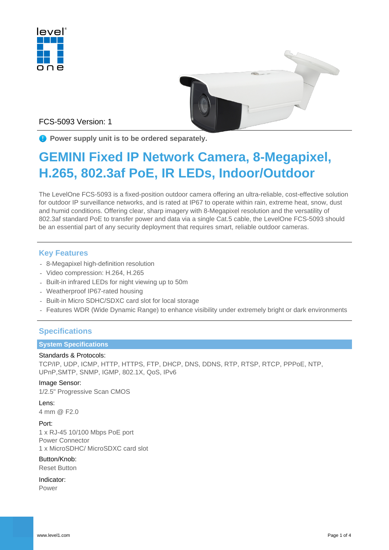



FCS-5093 Version: 1

**P** Power supply unit is to be ordered separately.

# **GEMINI Fixed IP Network Camera, 8-Megapixel, H.265, 802.3af PoE, IR LEDs, Indoor/Outdoor**

The LevelOne FCS-5093 is a fixed-position outdoor camera offering an ultra-reliable, cost-effective solution for outdoor IP surveillance networks, and is rated at IP67 to operate within rain, extreme heat, snow, dust and humid conditions. Offering clear, sharp imagery with 8-Megapixel resolution and the versatility of 802.3af standard PoE to transfer power and data via a single Cat.5 cable, the LevelOne FCS-5093 should be an essential part of any security deployment that requires smart, reliable outdoor cameras.

# **Key Features**

- 8-Megapixel high-definition resolution
- Video compression: H.264, H.265
- Built-in infrared LEDs for night viewing up to 50m
- Weatherproof IP67-rated housing
- Built-in Micro SDHC/SDXC card slot for local storage
- Features WDR (Wide Dynamic Range) to enhance visibility under extremely bright or dark environments

# **Specifications**

#### **System Specifications**

#### Standards & Protocols:

TCP/IP, UDP, ICMP, HTTP, HTTPS, FTP, DHCP, DNS, DDNS, RTP, RTSP, RTCP, PPPoE, NTP, UPnP,SMTP, SNMP, IGMP, 802.1X, QoS, IPv6

#### Image Sensor:

1/2.5" Progressive Scan CMOS

#### Lens:

4 mm @ F2.0

#### Port:

1 x RJ-45 10/100 Mbps PoE port Power Connector

1 x MicroSDHC/ MicroSDXC card slot

#### Button/Knob:

Reset Button

#### Indicator:

Power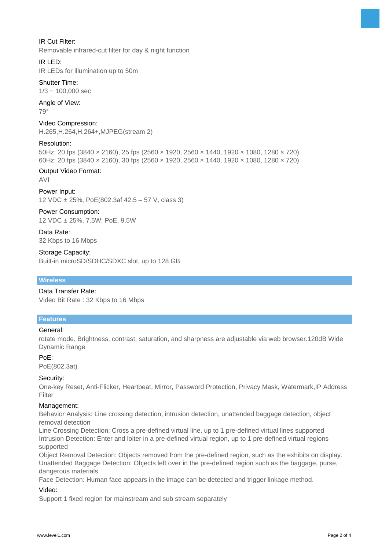

#### IR Cut Filter:

Removable infrared-cut filter for day & night function

#### IR LED:

IR LEDs for illumination up to 50m

# Shutter Time:

 $1/3 \sim 100.000$  sec

# Angle of View:

79°

#### Video Compression:

H.265,H.264,H.264+,MJPEG(stream 2)

#### Resolution:

50Hz: 20 fps (3840 × 2160), 25 fps (2560 × 1920, 2560 × 1440, 1920 × 1080, 1280 × 720) 60Hz: 20 fps (3840 × 2160), 30 fps (2560 × 1920, 2560 × 1440, 1920 × 1080, 1280 × 720)

#### Output Video Format:

AVI

# Power Input:

12 VDC ± 25%, PoE(802.3af 42.5 – 57 V, class 3)

#### Power Consumption: 12 VDC ± 25%, 7.5W; PoE, 9.5W

Data Rate: 32 Kbps to 16 Mbps

#### Storage Capacity:

Built-in microSD/SDHC/SDXC slot, up to 128 GB

#### **Wireless**

#### Data Transfer Rate:

Video Bit Rate : 32 Kbps to 16 Mbps

#### **Features**

#### General:

rotate mode. Brightness, contrast, saturation, and sharpness are adjustable via web browser.120dB Wide Dynamic Range

#### PoE:

PoE(802.3at)

#### Security:

One-key Reset, Anti-Flicker, Heartbeat, Mirror, Password Protection, Privacy Mask, Watermark,IP Address Filter

#### Management:

Behavior Analysis: Line crossing detection, intrusion detection, unattended baggage detection, object removal detection

Line Crossing Detection: Cross a pre-defined virtual line, up to 1 pre-defined virtual lines supported Intrusion Detection: Enter and loiter in a pre-defined virtual region, up to 1 pre-defined virtual regions supported

Object Removal Detection: Objects removed from the pre-defined region, such as the exhibits on display. Unattended Baggage Detection: Objects left over in the pre-defined region such as the baggage, purse, dangerous materials

Face Detection: Human face appears in the image can be detected and trigger linkage method.

#### Video:

Support 1 fixed region for mainstream and sub stream separately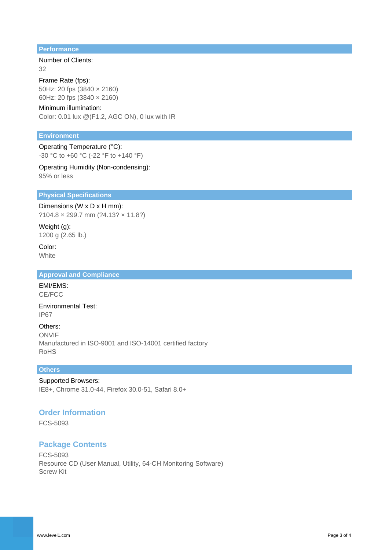#### **Performance**

#### Number of Clients: 32

Frame Rate (fps): 50Hz: 20 fps (3840 × 2160) 60Hz: 20 fps (3840 × 2160)

#### Minimum illumination:

Color: 0.01 lux @(F1.2, AGC ON), 0 lux with IR

#### **Environment**

Operating Temperature (°C): -30 °C to +60 °C (-22 °F to +140 °F)

#### Operating Humidity (Non-condensing): 95% or less

#### **Physical Specifications**

Dimensions (W x D x H mm):

?104.8 × 299.7 mm (?4.13? × 11.8?)

Weight (g): 1200 g (2.65 lb.)

Color: **White** 

#### **Approval and Compliance**

EMI/EMS: CE/FCC

Environmental Test: IP67

Others: ONVIF Manufactured in ISO-9001 and ISO-14001 certified factory RoHS

#### **Others**

Supported Browsers:

IE8+, Chrome 31.0-44, Firefox 30.0-51, Safari 8.0+

# **Order Information**

FCS-5093

#### **Package Contents**

FCS-5093 Resource CD (User Manual, Utility, 64-CH Monitoring Software) Screw Kit